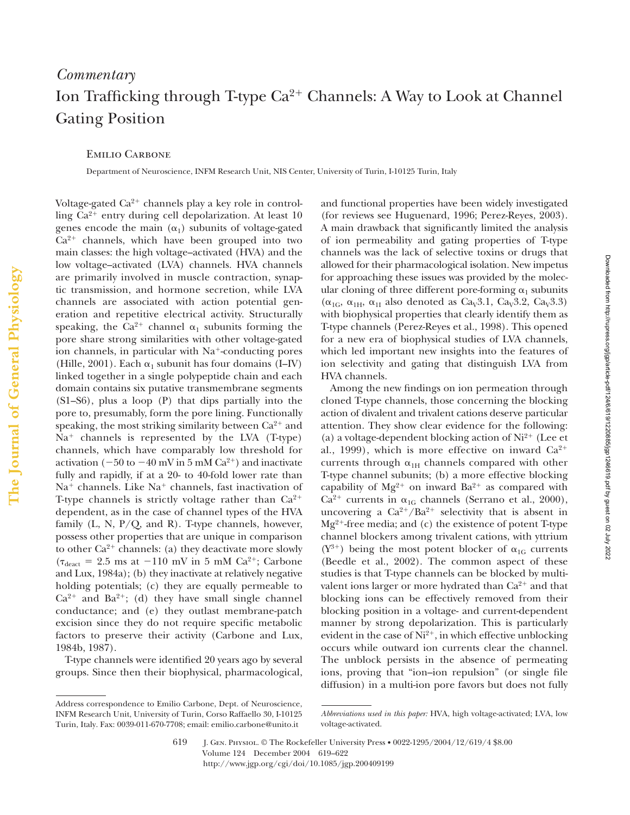## *Commentary* Ion Trafficking through T-type  $Ca^{2+}$  Channels: A Way to Look at Channel Gating Position

Emilio Carbone

Department of Neuroscience, INFM Research Unit, NIS Center, University of Turin, I-10125 Turin, Italy

Voltage-gated  $Ca^{2+}$  channels play a key role in controlling  $Ca^{2+}$  entry during cell depolarization. At least 10 genes encode the main  $(\alpha_1)$  subunits of voltage-gated  $Ca<sup>2+</sup>$  channels, which have been grouped into two main classes: the high voltage–activated (HVA) and the low voltage–activated (LVA) channels. HVA channels are primarily involved in muscle contraction, synaptic transmission, and hormone secretion, while LVA channels are associated with action potential generation and repetitive electrical activity. Structurally speaking, the Ca<sup>2+</sup> channel  $\alpha_1$  subunits forming the pore share strong similarities with other voltage-gated ion channels, in particular with  $Na<sup>+</sup>$ -conducting pores (Hille, 2001). Each  $\alpha_1$  subunit has four domains (I–IV) linked together in a single polypeptide chain and each domain contains six putative transmembrane segments (S1–S6), plus a loop (P) that dips partially into the pore to, presumably, form the pore lining. Functionally speaking, the most striking similarity between  $Ca^{2+}$  and  $Na<sup>+</sup>$  channels is represented by the LVA (T-type) channels, which have comparably low threshold for activation (-50 to -40 mV in 5 mM  $Ca^{2+}$ ) and inactivate fully and rapidly, if at a 20- to 40-fold lower rate than  $Na<sup>+</sup> channels.$  Like  $Na<sup>+</sup> channels,$  fast inactivation of T-type channels is strictly voltage rather than  $Ca^{2+}$ dependent, as in the case of channel types of the HVA family  $(L, N, P/Q, and R)$ . T-type channels, however, possess other properties that are unique in comparison to other  $Ca^{2+}$  channels: (a) they deactivate more slowly  $(\tau_{\text{deact}} = 2.5 \text{ ms at } -110 \text{ mV in } 5 \text{ mM Ca}^{2+}; \text{ Carbone})$ and Lux, 1984a); (b) they inactivate at relatively negative holding potentials; (c) they are equally permeable to  $Ca^{2+}$  and  $Ba^{2+}$ ; (d) they have small single channel conductance; and (e) they outlast membrane-patch excision since they do not require specific metabolic factors to preserve their activity (Carbone and Lux, 1984b, 1987).

T-type channels were identified 20 years ago by several groups. Since then their biophysical, pharmacological,

Address correspondence to Emilio Carbone, Dept. of Neuroscience, INFM Research Unit, University of Turin, Corso Raffaello 30, I-10125 Turin, Italy. Fax: 0039-011-670-7708; email: emilio.carbone@unito.it

and functional properties have been widely investigated (for reviews see Huguenard, 1996; Perez-Reyes, 2003). A main drawback that significantly limited the analysis of ion permeability and gating properties of T-type channels was the lack of selective toxins or drugs that allowed for their pharmacological isolation. New impetus for approaching these issues was provided by the molecular cloning of three different pore-forming  $\alpha_1$  subunits  $(\alpha_{1G}, \alpha_{1H}, \alpha_{1I}$  also denoted as Ca<sub>V</sub>3.1, Ca<sub>V</sub>3.2, Ca<sub>V</sub>3.3) with biophysical properties that clearly identify them as T-type channels (Perez-Reyes et al., 1998). This opened for a new era of biophysical studies of LVA channels, which led important new insights into the features of ion selectivity and gating that distinguish LVA from HVA channels.

Among the new findings on ion permeation through cloned T-type channels, those concerning the blocking action of divalent and trivalent cations deserve particular attention. They show clear evidence for the following: (a) a voltage-dependent blocking action of  $Ni^{2+}$  (Lee et al., 1999), which is more effective on inward  $Ca^{2+}$ currents through  $\alpha_{1\text{H}}$  channels compared with other T-type channel subunits; (b) a more effective blocking capability of  $Mg^{2+}$  on inward  $Ba^{2+}$  as compared with  $Ca^{2+}$  currents in  $\alpha_{1G}$  channels (Serrano et al., 2000), uncovering a  $Ca^{2+}/Ba^{2+}$  selectivity that is absent in  $Mg^{2+}$ -free media; and (c) the existence of potent T-type channel blockers among trivalent cations, with yttrium  $(Y^{3+})$  being the most potent blocker of  $\alpha_{1G}$  currents (Beedle et al., 2002). The common aspect of these studies is that T-type channels can be blocked by multivalent ions larger or more hydrated than  $Ca^{2+}$  and that blocking ions can be effectively removed from their blocking position in a voltage- and current-dependent manner by strong depolarization. This is particularly evident in the case of  $Ni^{2+}$ , in which effective unblocking occurs while outward ion currents clear the channel. The unblock persists in the absence of permeating ions, proving that "ion–ion repulsion" (or single file diffusion) in a multi-ion pore favors but does not fully

619 J. Gen. Physiol. © The Rockefeller University Press • 0022-1295/2004/12/619/4 \$8.00 Volume 124 December 2004 619–622 http://www.jgp.org/cgi/doi/10.1085/jgp.200409199

*Abbreviations used in this paper:* HVA, high voltage-activated; LVA, low voltage-activated.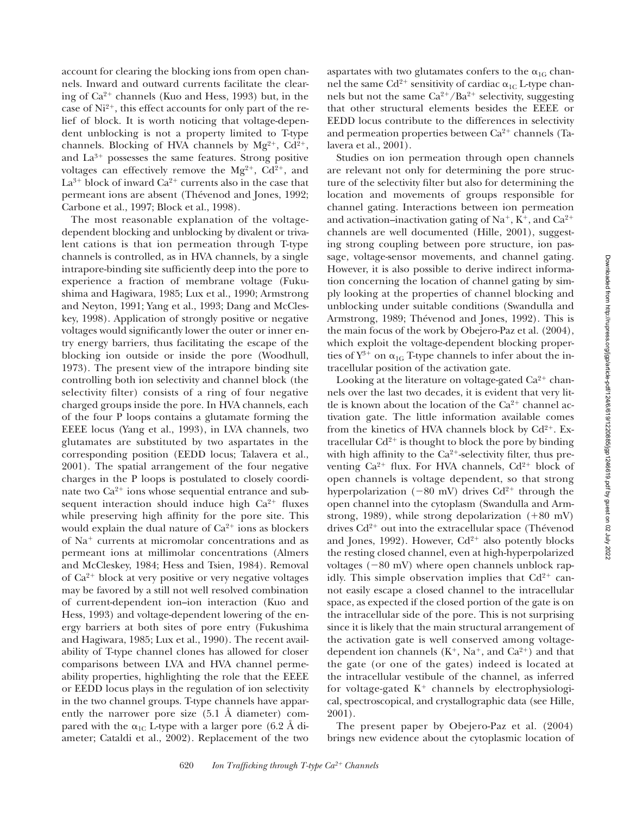account for clearing the blocking ions from open channels. Inward and outward currents facilitate the clearing of  $Ca^{2+}$  channels (Kuo and Hess, 1993) but, in the case of  $Ni^{2+}$ , this effect accounts for only part of the relief of block. It is worth noticing that voltage-dependent unblocking is not a property limited to T-type channels. Blocking of HVA channels by  $Mg^{2+}$ ,  $Cd^{2+}$ , and  $La^{3+}$  possesses the same features. Strong positive voltages can effectively remove the  $Mg^{2+}$ ,  $Cd^{2+}$ , and  $La^{3+}$  block of inward  $Ca^{2+}$  currents also in the case that permeant ions are absent (Thévenod and Jones, 1992; Carbone et al., 1997; Block et al., 1998).

The most reasonable explanation of the voltagedependent blocking and unblocking by divalent or trivalent cations is that ion permeation through T-type channels is controlled, as in HVA channels, by a single intrapore-binding site sufficiently deep into the pore to experience a fraction of membrane voltage (Fukushima and Hagiwara, 1985; Lux et al., 1990; Armstrong and Neyton, 1991; Yang et al., 1993; Dang and McCleskey, 1998). Application of strongly positive or negative voltages would significantly lower the outer or inner entry energy barriers, thus facilitating the escape of the blocking ion outside or inside the pore (Woodhull, 1973). The present view of the intrapore binding site controlling both ion selectivity and channel block (the selectivity filter) consists of a ring of four negative charged groups inside the pore. In HVA channels, each of the four P loops contains a glutamate forming the EEEE locus (Yang et al., 1993), in LVA channels, two glutamates are substituted by two aspartates in the corresponding position (EEDD locus; Talavera et al., 2001). The spatial arrangement of the four negative charges in the P loops is postulated to closely coordinate two  $Ca^{2+}$  ions whose sequential entrance and subsequent interaction should induce high  $Ca^{2+}$  fluxes while preserving high affinity for the pore site. This would explain the dual nature of  $Ca^{2+}$  ions as blockers of  $Na<sup>+</sup>$  currents at micromolar concentrations and as permeant ions at millimolar concentrations (Almers and McCleskey, 1984; Hess and Tsien, 1984). Removal of  $Ca^{2+}$  block at very positive or very negative voltages may be favored by a still not well resolved combination of current-dependent ion–ion interaction (Kuo and Hess, 1993) and voltage-dependent lowering of the energy barriers at both sites of pore entry (Fukushima and Hagiwara, 1985; Lux et al., 1990). The recent availability of T-type channel clones has allowed for closer comparisons between LVA and HVA channel permeability properties, highlighting the role that the EEEE or EEDD locus plays in the regulation of ion selectivity in the two channel groups. T-type channels have apparently the narrower pore size (5.1 Å diameter) compared with the  $\alpha_{\rm{1C}}$  L-type with a larger pore (6.2 Å diameter; Cataldi et al., 2002). Replacement of the two

aspartates with two glutamates confers to the  $\alpha_{1G}$  channel the same Cd $^{2+}$  sensitivity of cardiac  $\alpha_{\rm 1C}$  L-type channels but not the same  $Ca^{2+}/Ba^{2+}$  selectivity, suggesting that other structural elements besides the EEEE or EEDD locus contribute to the differences in selectivity and permeation properties between  $Ca^{2+}$  channels (Talavera et al., 2001).

Studies on ion permeation through open channels are relevant not only for determining the pore structure of the selectivity filter but also for determining the location and movements of groups responsible for channel gating. Interactions between ion permeation and activation–inactivation gating of Na<sup>+</sup>, K<sup>+</sup>, and Ca<sup>2+</sup> channels are well documented (Hille, 2001), suggesting strong coupling between pore structure, ion passage, voltage-sensor movements, and channel gating. However, it is also possible to derive indirect information concerning the location of channel gating by simply looking at the properties of channel blocking and unblocking under suitable conditions (Swandulla and Armstrong, 1989; Thévenod and Jones, 1992). This is the main focus of the work by Obejero-Paz et al. (2004), which exploit the voltage-dependent blocking properties of  ${\rm Y}^{3+}$  on  $\alpha_{1G}$  T-type channels to infer about the intracellular position of the activation gate.

Looking at the literature on voltage-gated  $Ca^{2+}$  channels over the last two decades, it is evident that very little is known about the location of the  $Ca^{2+}$  channel activation gate. The little information available comes from the kinetics of HVA channels block by  $Cd^{2+}$ . Extracellular  $Cd^{2+}$  is thought to block the pore by binding with high affinity to the  $Ca^{2+}$ -selectivity filter, thus preventing  $Ca^{2+}$  flux. For HVA channels,  $Cd^{2+}$  block of open channels is voltage dependent, so that strong hyperpolarization (-80 mV) drives  $Cd^{2+}$  through the open channel into the cytoplasm (Swandulla and Armstrong, 1989), while strong depolarization  $(+80 \text{ mV})$ drives  $Cd^{2+}$  out into the extracellular space (Thévenod and Jones, 1992). However,  $Cd^{2+}$  also potently blocks the resting closed channel, even at high-hyperpolarized voltages  $(-80 \text{ mV})$  where open channels unblock rapidly. This simple observation implies that  $Cd^{2+}$  cannot easily escape a closed channel to the intracellular space, as expected if the closed portion of the gate is on the intracellular side of the pore. This is not surprising since it is likely that the main structural arrangement of the activation gate is well conserved among voltagedependent ion channels  $(K^+, Na^+, and Ca^{2+})$  and that the gate (or one of the gates) indeed is located at the intracellular vestibule of the channel, as inferred for voltage-gated  $K^+$  channels by electrophysiological, spectroscopical, and crystallographic data (see Hille, 2001).

The present paper by Obejero-Paz et al. (2004) brings new evidence about the cytoplasmic location of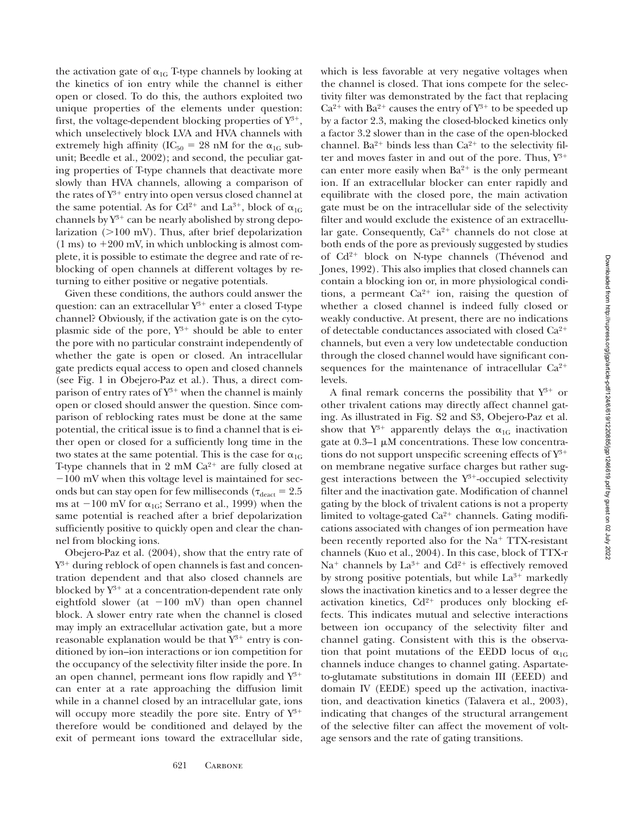the activation gate of  $\alpha_{1G}$  T-type channels by looking at the kinetics of ion entry while the channel is either open or closed. To do this, the authors exploited two unique properties of the elements under question: first, the voltage-dependent blocking properties of  $Y^{3+}$ , which unselectively block LVA and HVA channels with extremely high affinity (IC<sub>50</sub> = 28 nM for the  $\alpha_{1G}$  subunit; Beedle et al., 2002); and second, the peculiar gating properties of T-type channels that deactivate more slowly than HVA channels, allowing a comparison of the rates of  $Y^{3+}$  entry into open versus closed channel at the same potential. As for Cd<sup>2+</sup> and La<sup>3+</sup>, block of  $\alpha_{1G}$ channels by  $Y^{3+}$  can be nearly abolished by strong depolarization  $(>100 \text{ mV})$ . Thus, after brief depolarization  $(1 \text{ ms})$  to  $+200 \text{ mV}$ , in which unblocking is almost complete, it is possible to estimate the degree and rate of reblocking of open channels at different voltages by returning to either positive or negative potentials.

Given these conditions, the authors could answer the question: can an extracellular  $Y^{3+}$  enter a closed T-type channel? Obviously, if the activation gate is on the cytoplasmic side of the pore,  $Y^{3+}$  should be able to enter the pore with no particular constraint independently of whether the gate is open or closed. An intracellular gate predicts equal access to open and closed channels (see Fig. 1 in Obejero-Paz et al.). Thus, a direct comparison of entry rates of  $Y^{3+}$  when the channel is mainly open or closed should answer the question. Since comparison of reblocking rates must be done at the same potential, the critical issue is to find a channel that is either open or closed for a sufficiently long time in the two states at the same potential. This is the case for  $\alpha_{1G}$ T-type channels that in 2 mM  $Ca^{2+}$  are fully closed at  $-100$  mV when this voltage level is maintained for seconds but can stay open for few milliseconds ( $\tau_{\rm deact} = 2.5$ ms at  $-100$  mV for  $\alpha_{1G}$ ; Serrano et al., 1999) when the same potential is reached after a brief depolarization sufficiently positive to quickly open and clear the channel from blocking ions.

Obejero-Paz et al. (2004), show that the entry rate of  $Y^{3+}$  during reblock of open channels is fast and concentration dependent and that also closed channels are blocked by  $Y^{3+}$  at a concentration-dependent rate only eightfold slower (at  $-100$  mV) than open channel block. A slower entry rate when the channel is closed may imply an extracellular activation gate, but a more reasonable explanation would be that  $Y^{3+}$  entry is conditioned by ion–ion interactions or ion competition for the occupancy of the selectivity filter inside the pore. In an open channel, permeant ions flow rapidly and  $Y^{3+}$ can enter at a rate approaching the diffusion limit while in a channel closed by an intracellular gate, ions will occupy more steadily the pore site. Entry of  $Y^{3+}$ therefore would be conditioned and delayed by the exit of permeant ions toward the extracellular side,

which is less favorable at very negative voltages when the channel is closed. That ions compete for the selectivity filter was demonstrated by the fact that replacing  $Ca^{2+}$  with  $Ba^{2+}$  causes the entry of  $Y^{3+}$  to be speeded up by a factor 2.3, making the closed-blocked kinetics only a factor 3.2 slower than in the case of the open-blocked channel. Ba<sup>2+</sup> binds less than  $Ca^{2+}$  to the selectivity filter and moves faster in and out of the pore. Thus,  $Y^{3+}$ can enter more easily when  $Ba^{2+}$  is the only permeant ion. If an extracellular blocker can enter rapidly and equilibrate with the closed pore, the main activation gate must be on the intracellular side of the selectivity filter and would exclude the existence of an extracellular gate. Consequently,  $Ca^{2+}$  channels do not close at both ends of the pore as previously suggested by studies of  $Cd^{2+}$  block on N-type channels (Thévenod and Jones, 1992). This also implies that closed channels can contain a blocking ion or, in more physiological conditions, a permeant  $Ca^{2+}$  ion, raising the question of whether a closed channel is indeed fully closed or weakly conductive. At present, there are no indications of detectable conductances associated with closed  $Ca^{2+}$ channels, but even a very low undetectable conduction through the closed channel would have significant consequences for the maintenance of intracellular  $Ca^{2+}$ levels.

A final remark concerns the possibility that  $Y^{3+}$  or other trivalent cations may directly affect channel gating. As illustrated in Fig. S2 and S3, Obejero-Paz et al. show that  $Y^{3+}$  apparently delays the  $\alpha_{1G}$  inactivation gate at  $0.3-1 \mu M$  concentrations. These low concentrations do not support unspecific screening effects of  $Y^{3+}$ on membrane negative surface charges but rather suggest interactions between the  $Y^{3+}$ -occupied selectivity filter and the inactivation gate. Modification of channel gating by the block of trivalent cations is not a property limited to voltage-gated  $Ca^{2+}$  channels. Gating modifications associated with changes of ion permeation have been recently reported also for the  $Na<sup>+</sup> TTX-resistant$ channels (Kuo et al., 2004). In this case, block of TTX-r  $Na<sup>+</sup>$  channels by  $La<sup>3+</sup>$  and  $Cd<sup>2+</sup>$  is effectively removed by strong positive potentials, but while  $La^{3+}$  markedly slows the inactivation kinetics and to a lesser degree the activation kinetics,  $Cd^{2+}$  produces only blocking effects. This indicates mutual and selective interactions between ion occupancy of the selectivity filter and channel gating. Consistent with this is the observation that point mutations of the EEDD locus of  $\alpha_{1G}$ channels induce changes to channel gating. Aspartateto-glutamate substitutions in domain III (EEED) and domain IV (EEDE) speed up the activation, inactivation, and deactivation kinetics (Talavera et al., 2003), indicating that changes of the structural arrangement of the selective filter can affect the movement of voltage sensors and the rate of gating transitions.